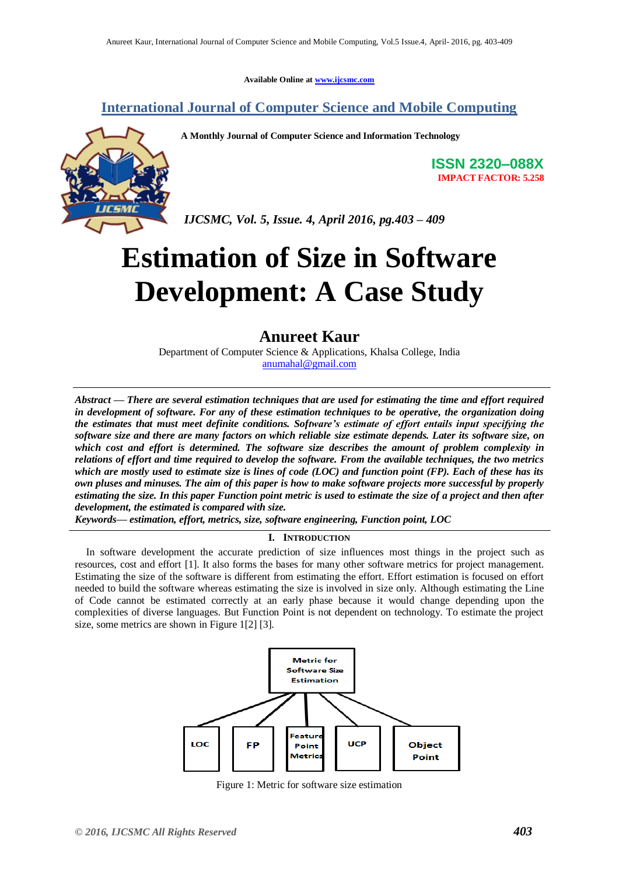**Available Online at [www.ijcsmc.com](http://www.ijcsmc.com/)**

# **International Journal of Computer Science and Mobile Computing**



**A Monthly Journal of Computer Science and Information Technology**

**ISSN 2320–088X IMPACT FACTOR: 5.258**

*IJCSMC, Vol. 5, Issue. 4, April 2016, pg.403 – 409*

# **Estimation of Size in Software Development: A Case Study**

# **Anureet Kaur**

Department of Computer Science & Applications, Khalsa College, India [anumahal@gmail.com](mailto:anumahal@gmail.com)

*Abstract — There are several estimation techniques that are used for estimating the time and effort required in development of software. For any of these estimation techniques to be operative, the organization doing the estimates that must meet definite conditions. Software's estimate of effort entails input specifying the software size and there are many factors on which reliable size estimate depends. Later its software size, on which cost and effort is determined. The software size describes the amount of problem complexity in relations of effort and time required to develop the software. From the available techniques, the two metrics which are mostly used to estimate size is lines of code (LOC) and function point (FP). Each of these has its own pluses and minuses. The aim of this paper is how to make software projects more successful by properly estimating the size. In this paper Function point metric is used to estimate the size of a project and then after development, the estimated is compared with size.*

*Keywords— estimation, effort, metrics, size, software engineering, Function point, LOC*

## **I. INTRODUCTION**

In software development the accurate prediction of size influences most things in the project such as resources, cost and effort [1]. It also forms the bases for many other software metrics for project management. Estimating the size of the software is different from estimating the effort. Effort estimation is focused on effort needed to build the software whereas estimating the size is involved in size only. Although estimating the Line of Code cannot be estimated correctly at an early phase because it would change depending upon the complexities of diverse languages. But Function Point is not dependent on technology. To estimate the project size, some metrics are shown in Figure 1[2] [3].



Figure 1: Metric for software size estimation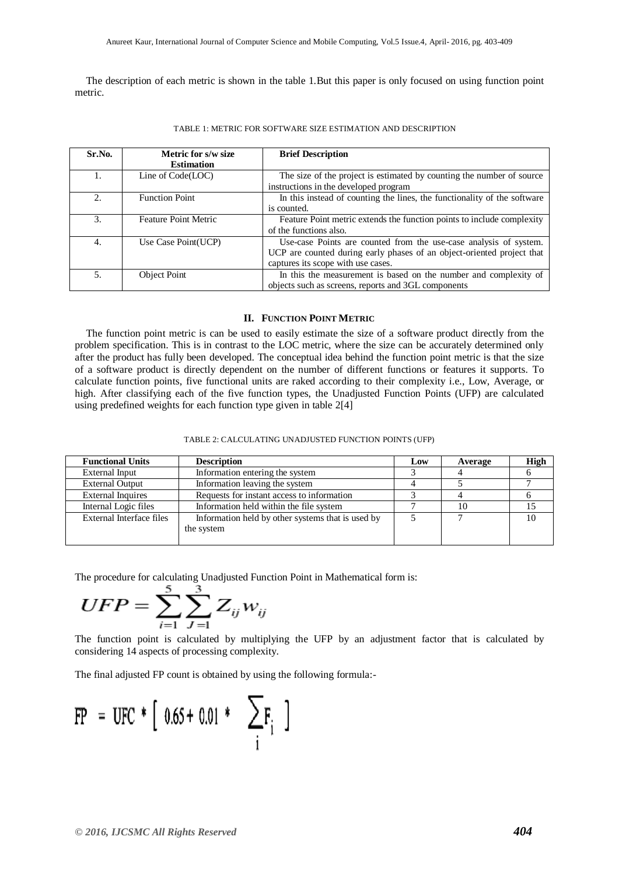The description of each metric is shown in the table 1.But this paper is only focused on using function point metric.

| Sr.No.         | Metric for s/w size         | <b>Brief Description</b>                                                 |  |
|----------------|-----------------------------|--------------------------------------------------------------------------|--|
|                | <b>Estimation</b>           |                                                                          |  |
|                | Line of Code(LOC)           | The size of the project is estimated by counting the number of source    |  |
|                |                             | instructions in the developed program                                    |  |
| $\mathfrak{D}$ | <b>Function Point</b>       | In this instead of counting the lines, the functionality of the software |  |
|                |                             | is counted.                                                              |  |
| 3.             | <b>Feature Point Metric</b> | Feature Point metric extends the function points to include complexity   |  |
|                |                             | of the functions also.                                                   |  |
| 4.             | Use Case Point(UCP)         | Use-case Points are counted from the use-case analysis of system.        |  |
|                |                             | UCP are counted during early phases of an object-oriented project that   |  |
|                |                             | captures its scope with use cases.                                       |  |
| .5             | Object Point                | In this the measurement is based on the number and complexity of         |  |
|                |                             | objects such as screens, reports and 3GL components                      |  |

#### TABLE 1: METRIC FOR SOFTWARE SIZE ESTIMATION AND DESCRIPTION

## **II. FUNCTION POINT METRIC**

The function point metric is can be used to easily estimate the size of a software product directly from the problem specification. This is in contrast to the LOC metric, where the size can be accurately determined only after the product has fully been developed. The conceptual idea behind the function point metric is that the size of a software product is directly dependent on the number of different functions or features it supports. To calculate function points, five functional units are raked according to their complexity i.e., Low, Average, or high. After classifying each of the five function types, the Unadjusted Function Points (UFP) are calculated using predefined weights for each function type given in table 2[4]

#### TABLE 2: CALCULATING UNADJUSTED FUNCTION POINTS (UFP)

| <b>Functional Units</b>  | <b>Description</b>                                              | Low | Average | <b>High</b> |
|--------------------------|-----------------------------------------------------------------|-----|---------|-------------|
| External Input           | Information entering the system                                 |     |         |             |
| <b>External Output</b>   | Information leaving the system                                  |     |         |             |
| <b>External Inquires</b> | Requests for instant access to information                      |     |         |             |
| Internal Logic files     | Information held within the file system                         |     | 10      |             |
| External Interface files | Information held by other systems that is used by<br>the system |     |         | 10          |

The procedure for calculating Unadjusted Function Point in Mathematical form is:

$$
UFP = \sum_{i=1}^{S} \sum_{J=1}^{S} Z_{ij} w_{ij}
$$

The function point is calculated by multiplying the UFP by an adjustment factor that is calculated by considering 14 aspects of processing complexity.

The final adjusted FP count is obtained by using the following formula:-

$$
FP = UFC * [ 0.65 + 0.01 * \sum_{i} F_{i} ]
$$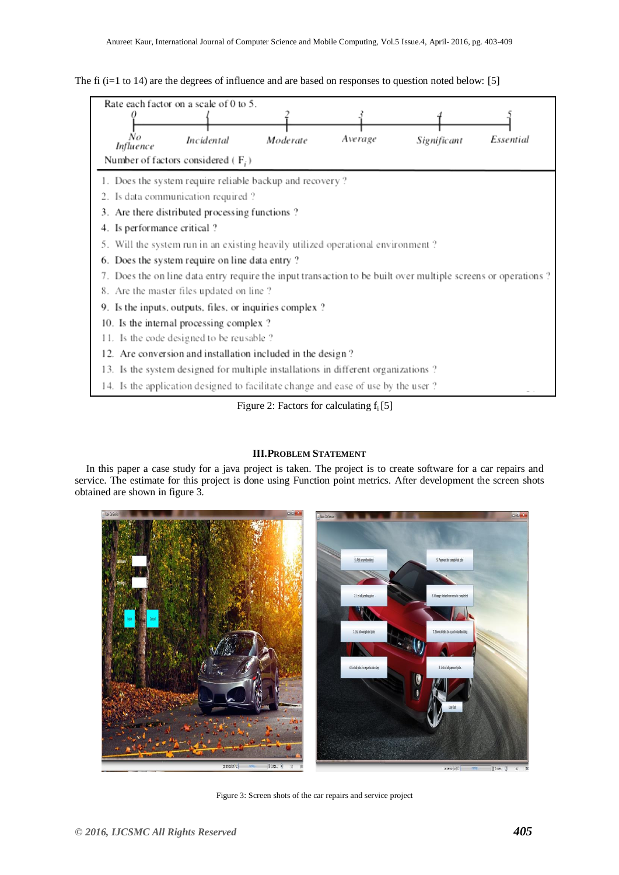## Rate each factor on a scale of 0 to 5. Ńо Incidental Moderate Average Significant Essential Influence Number of factors considered ( $F_i$ ) 1. Does the system require reliable backup and recovery? 2. Is data communication required ? 3. Are there distributed processing functions? 4. Is performance critical? 5. Will the system run in an existing heavily utilized operational environment? 6. Does the system require on line data entry? 7. Does the on line data entry require the input transaction to be built over multiple screens or operations? 8. Are the master files updated on line? 9. Is the inputs, outputs, files, or inquiries complex? 10. Is the internal processing complex? 11. Is the code designed to be reusable ? 12. Are conversion and installation included in the design? 13. Is the system designed for multiple installations in different organizations? 14. Is the application designed to facilitate change and ease of use by the user ?

## The fi (i=1 to 14) are the degrees of influence and are based on responses to question noted below: [5]

Figure 2: Factors for calculating  $f_i[5]$ 

## **III.PROBLEM STATEMENT**

In this paper a case study for a java project is taken. The project is to create software for a car repairs and service. The estimate for this project is done using Function point metrics. After development the screen shots obtained are shown in figure 3.



Figure 3: Screen shots of the car repairs and service project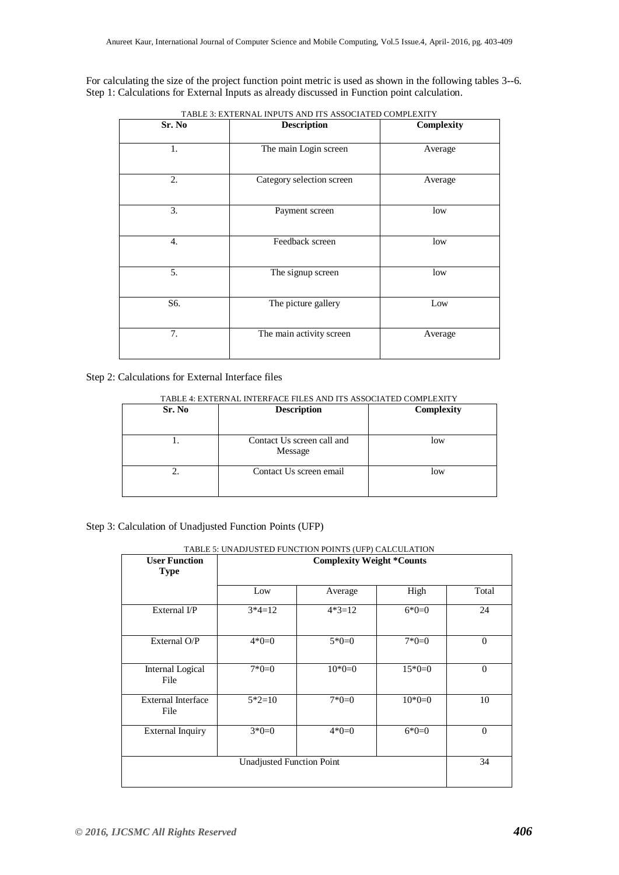For calculating the size of the project function point metric is used as shown in the following tables 3--6. Step 1: Calculations for External Inputs as already discussed in Function point calculation.

| Sr. No | <b>Description</b>        | Complexity |
|--------|---------------------------|------------|
| 1.     | The main Login screen     | Average    |
| 2.     | Category selection screen | Average    |
| 3.     | Payment screen            | low        |
| 4.     | Feedback screen           | low        |
| 5.     | The signup screen         | low        |
| S6.    | The picture gallery       | Low        |
| 7.     | The main activity screen  | Average    |

TABLE 3: EXTERNAL INPUTS AND ITS ASSOCIATED COMPLEXITY

Step 2: Calculations for External Interface files

| Sr. No | <b>Description</b>                    | Complexity |  |
|--------|---------------------------------------|------------|--|
|        | Contact Us screen call and<br>Message | low        |  |
|        | Contact Us screen email               | low        |  |

## TABLE 4: EXTERNAL INTERFACE FILES AND ITS ASSOCIATED COMPLEXITY

Step 3: Calculation of Unadjusted Function Points (UFP)

| TABLE 5: UNADJUSTED FUNCTION POINTS (UFP) CALCULATION |                                  |          |          |          |
|-------------------------------------------------------|----------------------------------|----------|----------|----------|
| <b>User Function</b><br><b>Type</b>                   | <b>Complexity Weight *Counts</b> |          |          |          |
|                                                       | Low                              | Average  | High     | Total    |
| External I/P                                          | $3*4=12$                         | $4*3=12$ | $6*0=0$  | 24       |
| External O/P                                          | $4*0=0$                          | $5*0=0$  | $7*0=0$  | $\Omega$ |
| Internal Logical<br>File                              | $7*0=0$                          | $10*0=0$ | $15*0=0$ | $\Omega$ |
| <b>External Interface</b><br>File                     | $5*2=10$                         | $7*0=0$  | $10*0=0$ | 10       |
| <b>External Inquiry</b>                               | $3*0=0$                          | $4*0=0$  | $6*0=0$  | $\Omega$ |
| <b>Unadjusted Function Point</b>                      |                                  |          |          | 34       |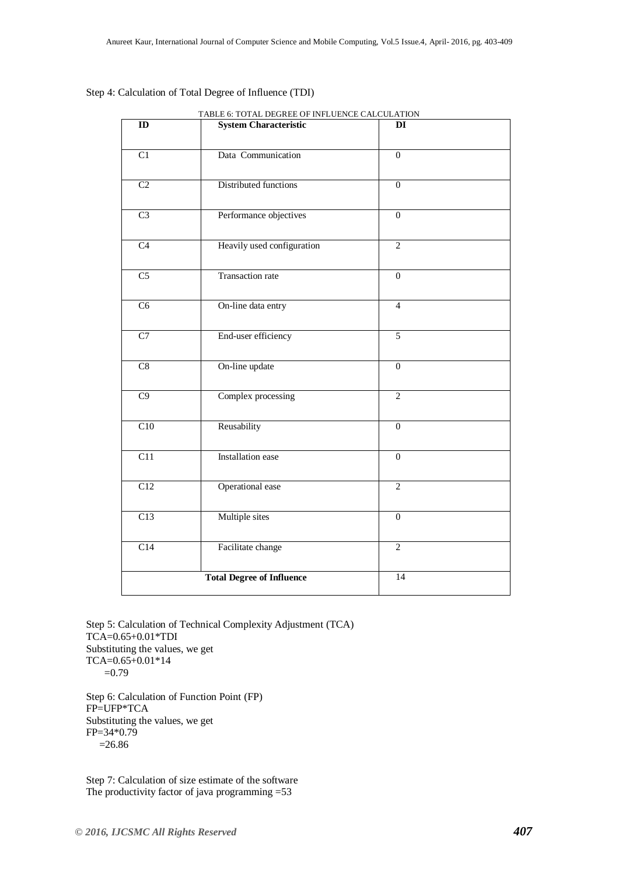| Step 4: Calculation of Total Degree of Influence (TDI) |
|--------------------------------------------------------|
|--------------------------------------------------------|

TABLE 6: TOTAL DEGREE OF INFLUENCE CALCULATION

| ID                     | <b>System Characteristic</b>     | DI               |  |
|------------------------|----------------------------------|------------------|--|
| $\overline{C1}$        | Data Communication               | $\boldsymbol{0}$ |  |
| C2                     | Distributed functions            | $\boldsymbol{0}$ |  |
| C <sub>3</sub>         | Performance objectives           | $\overline{0}$   |  |
| $\overline{C4}$        | Heavily used configuration       | $\overline{2}$   |  |
| $\overline{C5}$        | Transaction rate                 | $\boldsymbol{0}$ |  |
| $\overline{\text{C6}}$ | On-line data entry               | $\overline{4}$   |  |
| C7                     | End-user efficiency              | 5                |  |
| $\overline{C8}$        | On-line update                   | $\boldsymbol{0}$ |  |
| $\overline{C9}$        | Complex processing               | $\overline{2}$   |  |
| C10                    | Reusability                      | $\overline{0}$   |  |
| C11                    | Installation ease                | $\boldsymbol{0}$ |  |
| C12                    | Operational ease                 | $\overline{2}$   |  |
| $\overline{C13}$       | Multiple sites                   | $\theta$         |  |
| C14                    | Facilitate change                | $\overline{2}$   |  |
|                        | <b>Total Degree of Influence</b> | 14               |  |

Step 5: Calculation of Technical Complexity Adjustment (TCA) TCA=0.65+0.01\*TDI Substituting the values, we get TCA=0.65+0.01\*14  $=0.79$ 

Step 6: Calculation of Function Point (FP) FP=UFP\*TCA Substituting the values, we get FP=34\*0.79 =26.86

Step 7: Calculation of size estimate of the software The productivity factor of java programming =53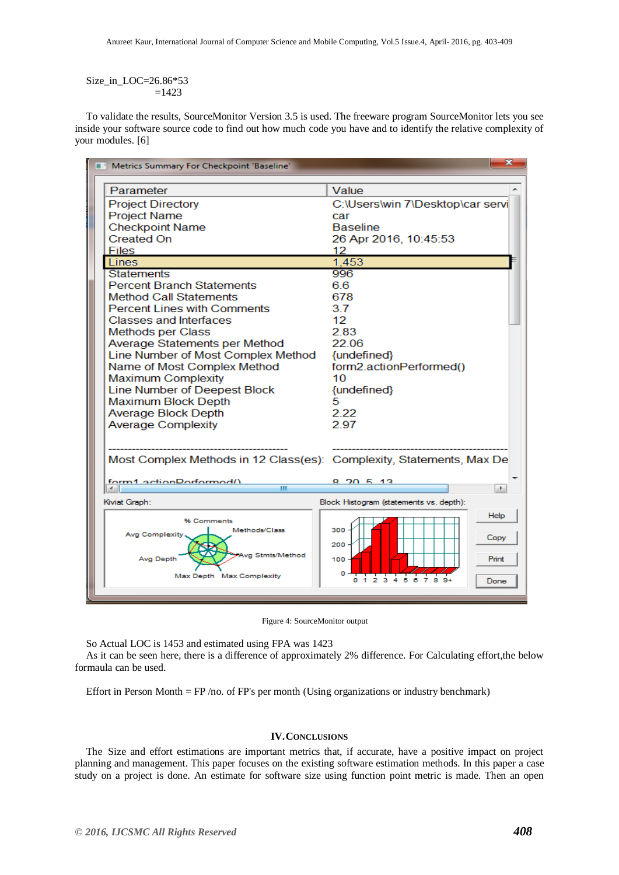Size\_in\_LOC=26.86\*53  $=1423$ 

To validate the results, SourceMonitor Version 3.5 is used. The freeware program SourceMonitor lets you see inside your software source code to find out how much code you have and to identify the relative complexity of your modules. [6]

| Metrics Summary For Checkpoint 'Baseline'                            |                                         |
|----------------------------------------------------------------------|-----------------------------------------|
|                                                                      |                                         |
| Parameter                                                            | Value                                   |
| <b>Project Directory</b>                                             | C:\Users\win 7\Desktop\car servi        |
| <b>Project Name</b>                                                  | car                                     |
| <b>Checkpoint Name</b>                                               | <b>Baseline</b>                         |
| Created On                                                           | 26 Apr 2016, 10:45:53                   |
| <b>Files</b>                                                         | 12                                      |
| Lines                                                                | 1,453                                   |
| <b>Statements</b>                                                    | 996                                     |
| <b>Percent Branch Statements</b>                                     | 66                                      |
| <b>Method Call Statements</b>                                        | 678                                     |
| <b>Percent Lines with Comments</b>                                   | 37                                      |
| <b>Classes and Interfaces</b>                                        | 12                                      |
| <b>Methods per Class</b>                                             | 2.83                                    |
| Average Statements per Method                                        | 22.06                                   |
| Line Number of Most Complex Method                                   | {undefined}                             |
| Name of Most Complex Method                                          | form2.actionPerformed()                 |
| <b>Maximum Complexity</b>                                            | 10                                      |
| Line Number of Deepest Block                                         | {undefined}                             |
| <b>Maximum Block Depth</b>                                           | 5.                                      |
| <b>Average Block Depth</b>                                           | 2.22                                    |
| <b>Average Complexity</b>                                            | 2.97                                    |
|                                                                      |                                         |
| Most Complex Methods in 12 Class(es): Complexity, Statements, Max De |                                         |
|                                                                      |                                         |
| form1 actionDorformod()                                              | 9.20512                                 |
| ш                                                                    | $\mathcal{A}_-$                         |
| Kiviat Graph:                                                        | Block Histogram (statements vs. depth): |
| % Comments                                                           | Help                                    |
| Methods/Class<br><b>Avg Complexity</b>                               | 300                                     |
|                                                                      | Copy<br>200                             |
| wg Stmts/Method                                                      |                                         |
| Avg Depth                                                            | 100<br>Print                            |
| Max Depth Max Complexity                                             | o<br>12345<br>6<br>$8.9+$<br>Done       |
|                                                                      |                                         |
|                                                                      |                                         |

Figure 4: SourceMonitor output

So Actual LOC is 1453 and estimated using FPA was 1423

As it can be seen here, there is a difference of approximately 2% difference. For Calculating effort,the below formaula can be used.

Effort in Person Month = FP /no. of FP's per month (Using organizations or industry benchmark)

## **IV.CONCLUSIONS**

The Size and effort estimations are important metrics that, if accurate, have a positive impact on project planning and management. This paper focuses on the existing software estimation methods. In this paper a case study on a project is done. An estimate for software size using function point metric is made. Then an open